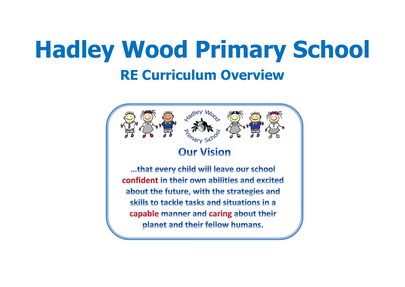# **Hadley Wood Primary School RE Curriculum Overview**

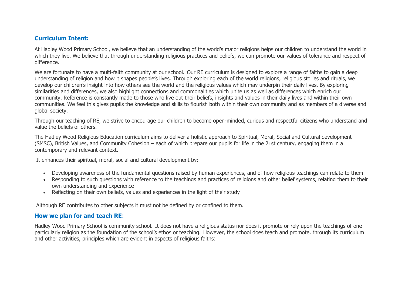#### **Curriculum Intent:**

At Hadley Wood Primary School, we believe that an understanding of the world's major religions helps our children to understand the world in which they live. We believe that through understanding religious practices and beliefs, we can promote our values of tolerance and respect of difference.

We are fortunate to have a multi-faith community at our school.  Our RE curriculum is designed to explore a range of faiths to gain a deep understanding of religion and how it shapes people's lives. Through exploring each of the world religions, religious stories and rituals, we develop our children's insight into how others see the world and the religious values which may underpin their daily lives. By exploring similarities and differences, we also highlight connections and commonalities which unite us as well as differences which enrich our community. Reference is constantly made to those who live out their beliefs, insights and values in their daily lives and within their own communities. We feel this gives pupils the knowledge and skills to flourish both within their own community and as members of a diverse and global society.

Through our teaching of RE, we strive to encourage our children to become open-minded, curious and respectful citizens who understand and value the beliefs of others.

The Hadley Wood Religious Education curriculum aims to deliver a holistic approach to Spiritual, Moral, Social and Cultural development (SMSC), British Values, and Community Cohesion – each of which prepare our pupils for life in the 21st century, engaging them in a contemporary and relevant context.

It enhances their spiritual, moral, social and cultural development by:

- Developing awareness of the fundamental questions raised by human experiences, and of how religious teachings can relate to them
- Responding to such questions with reference to the teachings and practices of religions and other belief systems, relating them to their own understanding and experience
- Reflecting on their own beliefs, values and experiences in the light of their study

Although RE contributes to other subjects it must not be defined by or confined to them.

#### **How we plan for and teach RE**:

Hadley Wood Primary School is community school.  It does not have a religious status nor does it promote or rely upon the teachings of one particularly religion as the foundation of the school's ethos or teaching.  However, the school does teach and promote, through its curriculum and other activities, principles which are evident in aspects of religious faiths: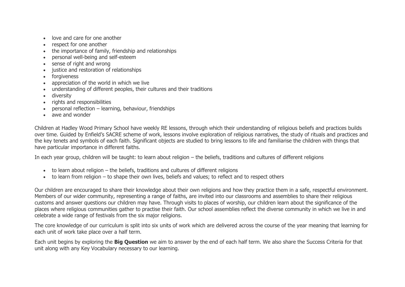- love and care for one another
- respect for one another
- the importance of family, friendship and relationships
- personal well-being and self-esteem
- sense of right and wrong
- justice and restoration of relationships
- forgiveness
- appreciation of the world in which we live
- understanding of different peoples, their cultures and their traditions
- diversity
- rights and responsibilities
- $\bullet$  personal reflection learning, behaviour, friendships
- awe and wonder

Children at Hadley Wood Primary School have weekly RE lessons, through which their understanding of religious beliefs and practices builds over time. Guided by Enfield's SACRE scheme of work, lessons involve exploration of religious narratives, the study of rituals and practices and the key tenets and symbols of each faith. Significant objects are studied to bring lessons to life and familiarise the children with things that have particular importance in different faiths.

In each year group, children will be taught: to learn about religion – the beliefs, traditions and cultures of different religions

- to learn about religion the beliefs, traditions and cultures of different religions
- to learn from religion to shape their own lives, beliefs and values; to reflect and to respect others

Our children are encouraged to share their knowledge about their own religions and how they practice them in a safe, respectful environment. Members of our wider community, representing a range of faiths, are invited into our classrooms and assemblies to share their religious customs and answer questions our children may have. Through visits to places of worship, our children learn about the significance of the places where religious communities gather to practise their faith. Our school assemblies reflect the diverse community in which we live in and celebrate a wide range of festivals from the six major religions.

The core knowledge of our curriculum is split into six units of work which are delivered across the course of the year meaning that learning for each unit of work take place over a half term.

Each unit begins by exploring the **Big Question** we aim to answer by the end of each half term. We also share the Success Criteria for that unit along with any Key Vocabulary necessary to our learning.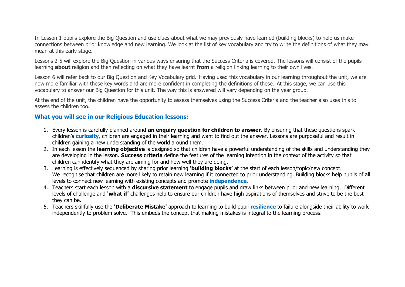In Lesson 1 pupils explore the Big Question and use clues about what we may previously have learned (building blocks) to help us make connections between prior knowledge and new learning. We look at the list of key vocabulary and try to write the definitions of what they may mean at this early stage.

Lessons 2-5 will explore the Big Question in various ways ensuring that the Success Criteria is covered. The lessons will consist of the pupils learning **about** religion and then reflecting on what they have learnt **from** a religion linking learning to their own lives.

Lesson 6 will refer back to our Big Question and Key Vocabulary grid.  Having used this vocabulary in our learning throughout the unit, we are now more familiar with these key words and are more confident in completing the definitions of these.  At this stage, we can use this vocabulary to answer our Big Question for this unit. The way this is answered will vary depending on the year group.

At the end of the unit, the children have the opportunity to assess themselves using the Success Criteria and the teacher also uses this to assess the children too.

#### **What you will see in our Religious Education lessons:**

- 1. Every lesson is carefully planned around **an enquiry question for children to answer**. By ensuring that these questions spark children's **curiosity,** children are engaged in their learning and want to find out the answer. Lessons are purposeful and result in children gaining a new understanding of the world around them.
- 2. In each lesson the **learning objective** is designed so that children have a powerful understanding of the skills and understanding they are developing in the lesson. **Success criteria** define the features of the learning intention in the context of the activity so that children can identify what they are aiming for and how well they are doing.
- 3. Learning is effectively sequenced by sharing prior learning **'building blocks'** at the start of each lesson/topic/new concept. We recognise that children are more likely to retain new learning if it connected to prior understanding. Building blocks help pupils of all levels to connect new learning with existing concepts and promote **independence.**
- 4. Teachers start each lesson with a **discursive statement** to engage pupils and draw links between prior and new learning. Different levels of challenge and **'what if'** challenges help to ensure our children have high aspirations of themselves and strive to be the best they can be.
- 5. Teachers skillfully use the **'Deliberate Mistake'** approach to learning to build pupil **resilience** to failure alongside their ability to work independently to problem solve. This embeds the concept that making mistakes is integral to the learning process.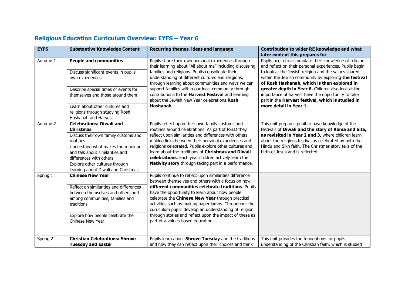| <b>EYFS</b> | <b>Substantive Knowledge Content</b>                                                                                          | Recurring themes, ideas and language                                                                                                                                                                                                                                        | Contribution to wider RE knowledge and what                                                                                                                               |
|-------------|-------------------------------------------------------------------------------------------------------------------------------|-----------------------------------------------------------------------------------------------------------------------------------------------------------------------------------------------------------------------------------------------------------------------------|---------------------------------------------------------------------------------------------------------------------------------------------------------------------------|
|             |                                                                                                                               |                                                                                                                                                                                                                                                                             | later content this prepares for                                                                                                                                           |
| Autumn 1    | <b>People and communities</b><br>Discuss significant events in pupils'                                                        | Pupils share their own personal experiences through<br>their learning about "All about me" including discussing<br>families and religions. Pupils consolidate their                                                                                                         | Pupils begin to accumulate their knowledge of religion<br>and reflect on their personal experiences. Pupils begin<br>to look at the Jewish religion and the values shared |
|             | own experiences                                                                                                               | understanding of different cultures and religions,<br>through learning about communities and ways we can<br>support families within our local community through<br>contributions to the Harvest Festival and learning<br>about the Jewish New Year celebrations Rosh        | within the Jewish community by exploring the festival<br>of Rosh Hashanah, which is then explored in                                                                      |
|             | Describe special times of events for<br>themselves and those around them                                                      |                                                                                                                                                                                                                                                                             | greater depth in Year 6. Children also look at the<br>importance of harvest have the opportunity to take<br>part in the Harvest festival, which is studied in             |
|             | Learn about other cultures and<br>religions through studying Rosh<br>Hashanah and Harvest                                     | Hashanah.                                                                                                                                                                                                                                                                   | more detail in Year 1.                                                                                                                                                    |
| Autumn 2    | <b>Celebrations: Diwali and</b><br><b>Christmas</b>                                                                           | Pupils reflect upon their own family customs and<br>routines around celebrations. As part of PSED they                                                                                                                                                                      | This unit prepares pupil to have knowledge of the<br>festivals of Diwali and the story of Rama and Sita,                                                                  |
|             | Discuss their own family customs and<br>routines                                                                              | reflect upon similarities and differences with others<br>making links between their personal experiences and                                                                                                                                                                | as revisited in Year 2 and 3, where children learn<br>about the religious festival as celebrated by both the                                                              |
|             | Understand what makes them unique<br>and talk about similarities and<br>differences with others.                              | religions celebrated. Pupils explore other cultures and<br>learn about the traditions of Christmas and Diwali<br>celebrations. Each year children actively learn the                                                                                                        | Hindu and Sikh faith. The Christmas story tells of the<br>birth of Jesus and is reflected                                                                                 |
|             | Explore other cultures through<br>learning about Diwali and Christmas                                                         | Nativity story through taking part in a performance.                                                                                                                                                                                                                        |                                                                                                                                                                           |
| Spring 1    | <b>Chinese New Year</b>                                                                                                       | Pupils continue to reflect upon similarities difference<br>between themselves and others with a focus on how                                                                                                                                                                |                                                                                                                                                                           |
|             | Reflect on similarities and differences<br>between themselves and others and<br>among communities, families and<br>traditions | different communities celebrate traditions. Pupils<br>have the opportunity to learn about how people<br>celebrate the Chinese New Year through practical<br>activities such as making paper lamps. Throughout the<br>curriculum pupils develop an understanding of religion |                                                                                                                                                                           |
|             | Explore how people celebrate the<br>Chinese New Year                                                                          | through stories and reflect upon the impact of these as<br>part of a values-based education.                                                                                                                                                                                |                                                                                                                                                                           |
| Spring 2    | <b>Christian Celebrations: Shrove</b><br><b>Tuesday and Easter</b>                                                            | Pupils learn about Shrove Tuesday and the traditions<br>and how they can reflect upon their choices and think                                                                                                                                                               | This unit provides the foundations for pupils<br>understanding of the Christian faith, which is studied                                                                   |

### **Religious Education Curriculum Overview: EYFS – Year 6**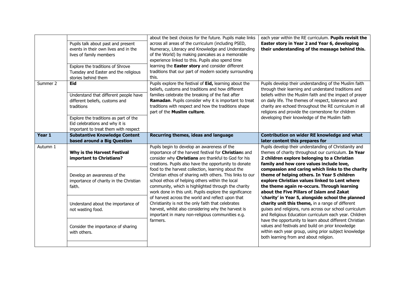|          | Pupils talk about past and present<br>events in their own lives and in the<br>lives of family members<br>Explore the traditions of Shrove<br>Tuesday and Easter and the religious<br>stories behind them               | about the best choices for the future. Pupils make links<br>across all areas of the curriculum (including PSED,<br>Numeracy, Literacy and Knowledge and Understanding<br>of the World) by making pancakes as a memorable<br>experience linked to this. Pupils also spend time<br>learning the Easter story and consider different<br>traditions that our part of modern society surrounding<br>this. | each year within the RE curriculum. Pupils revisit the<br>Easter story in Year 2 and Year 6, developing<br>their understanding of the message behind this.                                                                                                                                                                                                                                          |
|----------|------------------------------------------------------------------------------------------------------------------------------------------------------------------------------------------------------------------------|------------------------------------------------------------------------------------------------------------------------------------------------------------------------------------------------------------------------------------------------------------------------------------------------------------------------------------------------------------------------------------------------------|-----------------------------------------------------------------------------------------------------------------------------------------------------------------------------------------------------------------------------------------------------------------------------------------------------------------------------------------------------------------------------------------------------|
| Summer 2 | <b>Eid</b><br>Understand that different people have<br>different beliefs, customs and<br>traditions<br>Explore the traditions as part of the<br>Eid celebrations and why it is<br>important to treat them with respect | Pupils explore the festival of Eid, learning about the<br>beliefs, customs and traditions and how different<br>families celebrate the breaking of the fast after<br>Ramadan. Pupils consider why it is important to treat<br>traditions with respect and how the traditions shape<br>part of the Muslim culture.                                                                                     | Pupils develop their understanding of the Muslim faith<br>through their learning and understand traditions and<br>beliefs within the Muslim faith and the impact of prayer<br>on daily life. The themes of respect, tolerance and<br>charity are echoed throughout the RE curriculum in all<br>religions and provide the cornerstone for children<br>developing their knowledge of the Muslim faith |
| Year 1   | <b>Substantive Knowledge Content</b><br>based around a Big Question                                                                                                                                                    | Recurring themes, ideas and language                                                                                                                                                                                                                                                                                                                                                                 | Contribution on wider RE knowledge and what<br>later content this prepares for                                                                                                                                                                                                                                                                                                                      |
| Autumn 1 | Why is the Harvest Festival<br>important to Christians?                                                                                                                                                                | Pupils begin to develop an awareness of the<br>importance of the harvest festival for Christians and<br>consider why Christians are thankful to God for his<br>creations. Pupils also have the opportunity to donate                                                                                                                                                                                 | Pupils develop their understanding of Christianity and<br>themes of charity throughout our curriculum. In Year<br>2 children explore belonging to a Christian<br>family and how core values include love,                                                                                                                                                                                           |
|          |                                                                                                                                                                                                                        |                                                                                                                                                                                                                                                                                                                                                                                                      |                                                                                                                                                                                                                                                                                                                                                                                                     |
|          | Develop an awareness of the<br>importance of charity in the Christian<br>faith.                                                                                                                                        | food to the harvest collection, learning about the<br>Christian ethos of sharing with others. This links to our<br>school ethos of helping others within the local<br>community, which is highlighted through the charity<br>work done in this unit. Pupils explore the significance                                                                                                                 | compassion and caring which links to the charity<br>theme of helping others. In Year 5 children<br>explore Christian values linked to Lent where<br>the theme again re-occurs. Through learning<br>about the Five Pillars of Islam and Zakat                                                                                                                                                        |
|          | Understand about the importance of<br>not wasting food.                                                                                                                                                                | of harvest across the world and reflect upon that<br>Christianity is not the only faith that celebrates<br>harvest, whilst also considering why the harvest is<br>important in many non-religious communities e.g.<br>farmers.                                                                                                                                                                       | 'charity' in Year 5, alongside school the planned<br>charity unit this theme, in a range of different<br>guises and religions, runs across our school curriculum<br>and Religious Education curriculum each year. Children<br>have the opportunity to learn about different Christian                                                                                                               |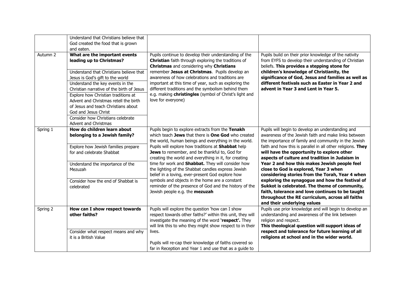|          | Understand that Christians believe that<br>God created the food that is grown<br>and eaten.                                                                                                                                                                                                                                                                                                                   |                                                                                                                                                                                                                                                                                                                                                                                                                                                                                                                                                                                                                                             |                                                                                                                                                                                                                                                                                                                                                                                                                                                                                                                                                                                                                                                                                                                        |
|----------|---------------------------------------------------------------------------------------------------------------------------------------------------------------------------------------------------------------------------------------------------------------------------------------------------------------------------------------------------------------------------------------------------------------|---------------------------------------------------------------------------------------------------------------------------------------------------------------------------------------------------------------------------------------------------------------------------------------------------------------------------------------------------------------------------------------------------------------------------------------------------------------------------------------------------------------------------------------------------------------------------------------------------------------------------------------------|------------------------------------------------------------------------------------------------------------------------------------------------------------------------------------------------------------------------------------------------------------------------------------------------------------------------------------------------------------------------------------------------------------------------------------------------------------------------------------------------------------------------------------------------------------------------------------------------------------------------------------------------------------------------------------------------------------------------|
| Autumn 2 | What are the important events<br>leading up to Christmas?<br>Understand that Christians believe that<br>Jesus is God's gift to the world<br>Understand the key events in the<br>Christian narrative of the birth of Jesus<br>Explore how Christian traditions at<br>Advent and Christmas retell the birth<br>of Jesus and teach Christians about<br>God and Jesus Christ<br>Consider how Christians celebrate | Pupils continue to develop their understanding of the<br>Christian faith through exploring the traditions of<br>Christmas and considering why Christians<br>remember Jesus at Christmas. Pupils develop an<br>awareness of how celebrations and traditions are<br>important at this time of year, such as exploring the<br>different traditions and the symbolism behind them<br>e.g. making christingles (symbol of Christ's light and<br>love for everyone)                                                                                                                                                                               | Pupils build on their prior knowledge of the nativity<br>from EYFS to develop their understanding of Christian<br>beliefs. This provides a stepping stone for<br>children's knowledge of Christianity, the<br>significance of God, Jesus and families as well as<br>different festivals such as Easter in Year 2 and<br>advent in Year 3 and Lent in Year 5.                                                                                                                                                                                                                                                                                                                                                           |
| Spring 1 | Advent and Christmas<br>How do children learn about<br>belonging to a Jewish family?<br>Explore how Jewish families prepare<br>for and celebrate Shabbat<br>Understand the importance of the<br>Mezuzah<br>Consider how the end of Shabbat is<br>celebrated                                                                                                                                                   | Pupils begin to explore extracts from the Tenakh<br>which teach Jews that there is One God who created<br>the world, human beings and everything in the world.<br>Pupils will explore how traditions at Shabbat help<br>Jews to remember, and be thankful to, God for<br>creating the world and everything in it, for creating<br>time for work and Shabbat. They will consider how<br>the lighting of the Shabbat candles express Jewish<br>belief in a loving, ever-present God explore how<br>symbols and objects in the home are a constant<br>reminder of the presence of God and the history of the<br>Jewish people e.g. the mezuzah | Pupils will begin to develop an understanding and<br>awareness of the Jewish faith and make links between<br>the importance of family and community in the Jewish<br>faith and how this is parallel in all other religions. They<br>will have the opportunity to explore other<br>aspects of culture and tradition in Judaism in<br>Year 2 and how this makes Jewish people feel<br>close to God is explored, Year 3 when<br>considering stories from the Torah, Year 4 when<br>exploring the synagogue and how the festival of<br>Sukkot is celebrated. The theme of community,<br>faith, tolerance and love continues to be taught<br>throughout the RE curriculum, across all faiths<br>and their underlying values |
| Spring 2 | How can I show respect towards<br>other faiths?<br>Consider what respect means and why<br>it is a British Value                                                                                                                                                                                                                                                                                               | Pupils will explore the question 'how can I show<br>respect towards other faiths?' within this unit, they will<br>investigate the meaning of the word 'respect'. They<br>will link this to who they might show respect to in their<br>lives.<br>Pupils will re-cap their knowledge of faiths covered so<br>far in Reception and Year 1 and use that as a guide to                                                                                                                                                                                                                                                                           | Pupils use prior knowledge and will begin to develop an<br>understanding and awareness of the link between<br>religion and respect.<br>This theological question will support ideas of<br>respect and tolerance for future learning of all<br>religions at school and in the wider world.                                                                                                                                                                                                                                                                                                                                                                                                                              |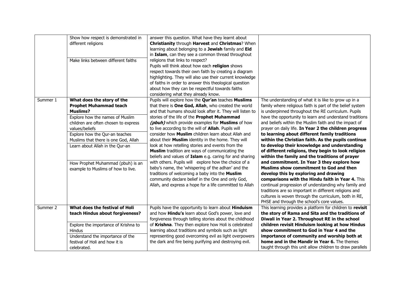|          | Show how respect is demonstrated in<br>different religions                                                                                                                                                                                                                                                                                                          | answer this question. What have they learnt about<br>Christianity through Harvest and Christmas? When<br>learning about belonging to a Jewish family and Eid<br>in Islam, can they see a common thread throughout                                                                                                                                                                                                                                                                                                                                                                                                                                                                                                                                                                                                                                                                                      |                                                                                                                                                                                                                                                                                                                                                                                                                                                                                                                                                                                                                                                                                                                                                                                                                                                                                                                                                                                                                                       |
|----------|---------------------------------------------------------------------------------------------------------------------------------------------------------------------------------------------------------------------------------------------------------------------------------------------------------------------------------------------------------------------|--------------------------------------------------------------------------------------------------------------------------------------------------------------------------------------------------------------------------------------------------------------------------------------------------------------------------------------------------------------------------------------------------------------------------------------------------------------------------------------------------------------------------------------------------------------------------------------------------------------------------------------------------------------------------------------------------------------------------------------------------------------------------------------------------------------------------------------------------------------------------------------------------------|---------------------------------------------------------------------------------------------------------------------------------------------------------------------------------------------------------------------------------------------------------------------------------------------------------------------------------------------------------------------------------------------------------------------------------------------------------------------------------------------------------------------------------------------------------------------------------------------------------------------------------------------------------------------------------------------------------------------------------------------------------------------------------------------------------------------------------------------------------------------------------------------------------------------------------------------------------------------------------------------------------------------------------------|
|          | Make links between different faiths                                                                                                                                                                                                                                                                                                                                 | religions that links to respect?<br>Pupils will think about how each religion shows<br>respect towards their own faith by creating a diagram<br>highlighting. They will also use their current knowledge<br>of faiths in order to answer this theological question<br>about how they can be respectful towards faiths<br>considering what they already know.                                                                                                                                                                                                                                                                                                                                                                                                                                                                                                                                           |                                                                                                                                                                                                                                                                                                                                                                                                                                                                                                                                                                                                                                                                                                                                                                                                                                                                                                                                                                                                                                       |
| Summer 1 | What does the story of the<br><b>Prophet Muhammad teach</b><br><b>Muslims?</b><br>Explore how the names of Muslim<br>children are often chosen to express<br>values/beliefs<br>Explore how the Qur-an teaches<br>Muslims that there is one God, Allah<br>Learn about Allah in the Qur-an<br>How Prophet Muhammad (pbuh) is an<br>example to Muslims of how to live. | Pupils will explore how the Qur'an teaches Muslims<br>that there is One God, Allah, who created the world<br>and that humans should look after it. They will listen to<br>stories of the life of the Prophet Muhammad<br>(pbuh) which provide examples for Muslims of how<br>to live according to the will of <b>Allah</b> . Pupils will<br>consider how Muslim children learn about Allah and<br>about their Muslim identity in the home. They will<br>look at how retelling stories and events from the<br>Muslim tradition are ways of communicating the<br>beliefs and values of Islam e.g. caring for and sharing<br>with others. Pupils will explore how the choice of a<br>baby's name, the 'whispering of the adhan' and the<br>traditions of welcoming a baby into the Muslim<br>community declare belief in the One and only God,<br>Allah, and express a hope for a life committed to Allah | The understanding of what it is like to grow up in a<br>family where religious faith is part of the belief system<br>is underpinned throughout the RE curriculum. Pupils<br>have the opportunity to learn and understand traditions<br>and beliefs within the Muslim faith and the impact of<br>prayer on daily life. In Year 2 the children progress<br>to learning about different family traditions<br>within the Christian faith. As the pupils continue<br>to develop their knowledge and understanding<br>of different religions, they begin to look religion<br>within the family and the traditions of prayer<br>and commitment. In Year 3 they explore how<br>Muslims show commitment to God and then<br>develop this by exploring and drawing<br>comparisons with the Hindu faith in Year 4. This<br>continual progression of understanding why family and<br>traditions are so important in different religions and<br>cultures is woven through the curriculum, both in RE,<br>PHSE and through the school's core values. |
| Summer 2 | What does the festival of Holi<br>teach Hindus about forgiveness?                                                                                                                                                                                                                                                                                                   | Pupils have the opportunity to learn about Hinduism<br>and how <b>Hindu's</b> learn about God's power, love and<br>forgiveness through telling stories about the childhood                                                                                                                                                                                                                                                                                                                                                                                                                                                                                                                                                                                                                                                                                                                             | This learning provides a platform for children to revisit<br>the story of Rama and Sita and the traditions of<br>Diwali in Year 2. Throughout RE in the school                                                                                                                                                                                                                                                                                                                                                                                                                                                                                                                                                                                                                                                                                                                                                                                                                                                                        |
|          | Explore the importance of Krishna to<br><b>Hindus</b><br>Understand the importance of the<br>festival of Holi and how it is<br>celebrated.                                                                                                                                                                                                                          | of Krishna. They then explore how Holi is celebrated<br>learning about traditions and symbols such as light<br>representing good overcoming evil as light overpowers<br>the dark and fire being purifying and destroying evil.                                                                                                                                                                                                                                                                                                                                                                                                                                                                                                                                                                                                                                                                         | children revisit Hinduism looking at how Hindus<br>show commitment to God in Year 4 and the<br>importance of community and worship both at<br>home and in the Mandir in Year 6. The themes<br>taught through this unit allow children to draw parallels                                                                                                                                                                                                                                                                                                                                                                                                                                                                                                                                                                                                                                                                                                                                                                               |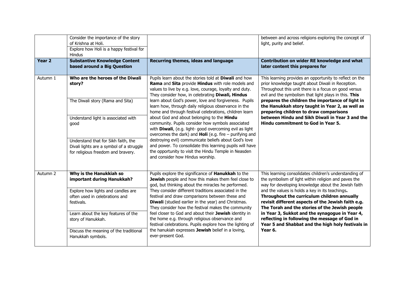|                   | Consider the importance of the story<br>of Krishna at Holi.<br>Explore how Holi is a happy festival for<br>Hindus     |                                                                                                                                                                                                                                                                                                                                                                                              | between and across religions exploring the concept of<br>light, purity and belief.                                                                                                                                                                                                                                                                             |
|-------------------|-----------------------------------------------------------------------------------------------------------------------|----------------------------------------------------------------------------------------------------------------------------------------------------------------------------------------------------------------------------------------------------------------------------------------------------------------------------------------------------------------------------------------------|----------------------------------------------------------------------------------------------------------------------------------------------------------------------------------------------------------------------------------------------------------------------------------------------------------------------------------------------------------------|
| Year <sub>2</sub> | <b>Substantive Knowledge Content</b><br>based around a Big Question                                                   | Recurring themes, ideas and language                                                                                                                                                                                                                                                                                                                                                         | Contribution on wider RE knowledge and what<br>later content this prepares for                                                                                                                                                                                                                                                                                 |
| Autumn 1          | Who are the heroes of the Diwali<br>story?                                                                            | Pupils learn about the stories told at Diwali and how<br>Rama and Sita provide Hindus with role models and<br>values to live by e.g. love, courage, loyalty and duty.<br>They consider how, in celebrating Diwali, Hindus                                                                                                                                                                    | This learning provides an opportunity to reflect on the<br>prior knowledge taught about Diwali in Reception.<br>Throughout this unit there is a focus on good versus<br>evil and the symbolism that light plays in this. This                                                                                                                                  |
|                   | The Diwali story (Rama and Sita)                                                                                      | learn about God's power, love and forgiveness. Pupils<br>learn how, through daily religious observance in the<br>home and through festival celebrations, children learn                                                                                                                                                                                                                      | prepares the children the importance of light in<br>the Hanukkah story taught in Year 2, as well as<br>preparing children to draw comparisons                                                                                                                                                                                                                  |
|                   | Understand light is associated with<br>good                                                                           | about God and about belonging to the Hindu<br>community. Pupils consider how symbols associated<br>with Diwali, (e.g. light- good overcoming evil as light<br>overcomes the dark) and <b>Holi</b> (e.g. fire $-$ purifying and                                                                                                                                                               | between Hindu and Sikh Diwali in Year 3 and the<br>Hindu commitment to God in Year 5.                                                                                                                                                                                                                                                                          |
|                   | Understand that for Sikh faith, the<br>Divali lights are a symbol of a struggle<br>for religious freedom and bravery. | destroying evil) communicate beliefs about God's love<br>and power. To consolidate this learning pupils will have<br>the opportunity to visit the Hindu Temple in Neasden<br>and consider how Hindus worship.                                                                                                                                                                                |                                                                                                                                                                                                                                                                                                                                                                |
| Autumn 2          | Why is the Hanukkiah so<br>important during Hanukkah?                                                                 | Pupils explore the significance of Hanukkah to the<br>Jewish people and how this makes them feel close to<br>god, but thinking about the miracles he performed.                                                                                                                                                                                                                              | This learning consolidates children's understanding of<br>the symbolism of light within religion and paves the<br>way for developing knowledge about the Jewish faith                                                                                                                                                                                          |
|                   | Explore how lights and candles are<br>often used in celebrations and<br>festivals.                                    | They consider different traditions associated in the<br>festival and draw comparisons between these and<br>Diwali (studied earlier in the year) and Christmas.<br>They consider how the festival makes the community<br>feel closer to God and about their Jewish identity in<br>the home e.g. through religious observance and<br>festival celebrations. Pupils explore how the lighting of | and the values is holds a key in its teachings.<br>Throughout the curriculum children annually<br>revisit different aspects of the Jewish faith e.g.<br>The Torah and the stories of the Jewish people<br>in Year 3, Sukkot and the synagogue in Year 4,<br>reflecting in following the message of God in<br>Year 5 and Shabbat and the high holy festivals in |
|                   | Learn about the key features of the<br>story of Hanukkah.                                                             |                                                                                                                                                                                                                                                                                                                                                                                              |                                                                                                                                                                                                                                                                                                                                                                |
|                   | Discuss the meaning of the traditional<br>Hanukkah symbols.                                                           | the hanukiah expresses Jewish belief in a loving,<br>ever-present God.                                                                                                                                                                                                                                                                                                                       | Year 6.                                                                                                                                                                                                                                                                                                                                                        |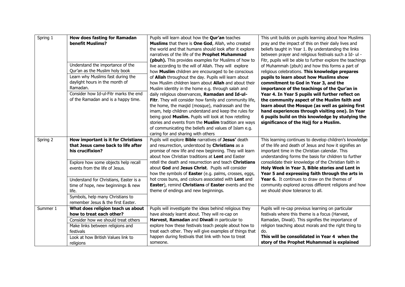| Spring 1 | <b>How does fasting for Ramadan</b>    | Pupils will learn about how the <b>Qur'an</b> teaches              | This unit builds on pupils learning about how Muslims      |
|----------|----------------------------------------|--------------------------------------------------------------------|------------------------------------------------------------|
|          | benefit Muslims?                       | Muslims that there is One God, Allah, who created                  | pray and the impact of this on their daily lives and       |
|          |                                        | the world and that humans should look after it explore             | beliefs taught in Year 1. By understanding the links       |
|          |                                        | narratives of the life of the Prophet Muhammad                     | between prayer and religious festivals such a Id- ul -     |
|          |                                        | (pbuh). This provides examples for Muslims of how to               | Fitr, pupils will be able to further explore the teachings |
|          | Understand the importance of the       | live according to the will of Allah. They will explore             | of Muhammah (pbuh) and how this forms a part of            |
|          | Qur'an as the Muslim holy book         | how Muslim children are encouraged to be conscious                 | religious celebrations. This knowledge prepares            |
|          | Learn why Muslims fast during the      | of Allah throughout the day. Pupils will learn about               | pupils to learn about how Muslims show                     |
|          | daylight hours in the month of         | how Muslim children learn about Allah and about their              | commitment to God in Year 3, and the                       |
|          | Ramadan.                               | Muslim identity in the home e.g. through salah and                 | importance of the teachings of the Qur'an in               |
|          | Consider how Id-ul-Fitr marks the end  | daily religious observances, Ramadan and Id-ul-                    | Year 4. In Year 5 pupils will further reflect on           |
|          | of the Ramadan and is a happy time.    | Fitr. They will consider how family and community life,            | the community aspect of the Muslim faith and               |
|          |                                        | the home, the masjid (mosque), madrassah and the                   | learn about the Mosque (as well as gaining first           |
|          |                                        | imam, help children understand and keep the rules for              | hand experiences through visiting one). In Year            |
|          |                                        | being good Muslim. Pupils will look at how retelling               | 6 pupils build on this knowledge by studying the           |
|          |                                        | stories and events from the Muslim tradition are ways              | significance of the Hajj for a Muslim.                     |
|          |                                        | of communicating the beliefs and values of Islam e.g.              |                                                            |
|          |                                        | caring for and sharing with others                                 |                                                            |
| Spring 2 | How important is it for Christians     | Pupils will explore <b>Bible</b> narratives of <b>Jesus'</b> death | This learning continues to develop children's knowledge    |
|          | that Jesus came back to life after     | and resurrection, understood by Christians as a                    | of the life and death of Jesus and how it signifies an     |
|          | his crucifixion?                       | promise of new life and new beginning. They will learn             | important time in the Christian calendar. This             |
|          |                                        | about how Christian traditions at Lent and Easter                  | understanding forms the basis for children to further      |
|          | Explore how some objects help recall   | retell the death and resurrection and teach Christians             | consolidate their knowledge of the Christian faith in      |
|          | events from the life of Jesus.         | about God and Jesus Christ. Pupils will consider                   | Holy Week in Year 3, Bible stories and Lent in             |
|          |                                        | how the symbols of Easter (e.g. palms, crosses, eggs,              | Year 5 and expressing faith through the arts in            |
|          | Understand for Christians, Easter is a | hot cross buns, and colours associated with Lent and               | Year 6. It continues to draw on the themes of              |
|          | time of hope, new beginnings & new     | Easter), remind Christians of Easter events and the                | community explored across different religions and how      |
|          | life.                                  | theme of endings and new beginnings.                               | we should show tolerance to all.                           |
|          | Symbols, help many Christians to       |                                                                    |                                                            |
|          | remember Jesus & the first Easter.     |                                                                    |                                                            |
| Summer 1 | What does religion teach us about      | Pupils will investigate the ideas behind religious they            | Pupils will re-cap previous learning on particular         |
|          | how to treat each other?               | have already learnt about. They will re-cap on                     | festivals where this theme is a focus (Harvest,            |
|          | Consider how we should treat others    | Harvest, Ramadan and Diwali in particular to                       | Ramadan, Diwali). This signifies the importance of         |
|          | Make links between religions and       | explore how these festivals teach people about how to              | religion teaching about morals and the right thing to      |
|          | festivals                              | treat each other. They will give examples of things that           | do.                                                        |
|          | Look at how British Values link to     | happen during festivals that link with how to treat                | This will be consolidated in Year 4 when the               |
|          | religions                              | someone.                                                           | story of the Prophet Muhammad is explained                 |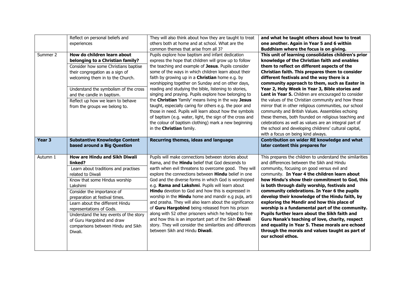|                   | Reflect on personal beliefs and                              | They will also think about how they are taught to treat                                                             | and what he taught others about how to treat                                                            |
|-------------------|--------------------------------------------------------------|---------------------------------------------------------------------------------------------------------------------|---------------------------------------------------------------------------------------------------------|
|                   | experiences                                                  | others both at home and at school. What are the                                                                     | one another. Again in Year 5 and 6 within                                                               |
|                   |                                                              | common themes that arise from all 3?                                                                                | Buddhism where the focus is on giving.                                                                  |
| Summer 2          | How do children learn about                                  | Pupils explore how baptism and infant dedication                                                                    | This unit of learning consolidates children's prior                                                     |
|                   | belonging to a Christian family?                             | express the hope that children will grow up to follow                                                               | knowledge of the Christian faith and enables                                                            |
|                   | Consider how some Christians baptise                         | the teaching and example of Jesus. Pupils consider                                                                  | them to reflect on different aspects of the                                                             |
|                   | their congregation as a sign of                              | some of the ways in which children learn about their                                                                | Christian faith. This prepares them to consider                                                         |
|                   | welcoming them in to the Church.                             | faith by growing up in a <b>Christian</b> home e.g. by                                                              | different festivals and the way there is a                                                              |
|                   |                                                              | worshipping together on Sunday and on other days,                                                                   | community approach to them, such as Easter in                                                           |
|                   | Understand the symbolism of the cross                        | reading and studying the bible, listening to stories,                                                               | Year 2, Holy Week in Year 3, Bible stories and                                                          |
|                   | and the candle in baptism.                                   | singing and praying. Pupils explore how belonging to                                                                | Lent in Year 5. Children are encouraged to consider                                                     |
|                   | Reflect up how we learn to behave                            | the Christian 'family' means living in the way Jesus                                                                | the values of the Christian community and how these                                                     |
|                   | from the groups we belong to.                                | taught, especially caring for others e.g. the poor and                                                              | mirror that in other religious communities, our school                                                  |
|                   |                                                              | those in need. Pupils will learn about how the symbols                                                              | community and British Values. Assemblies echoing                                                        |
|                   |                                                              | of baptism (e.g. water, light, the sign of the cross and                                                            | these themes, both founded on religious teaching and                                                    |
|                   |                                                              | the colour of baptism clothing) mark a new beginning                                                                | celebrations as well as values are an integral part of                                                  |
|                   |                                                              | in the Christian family.                                                                                            | the school and developing childrens' cultural capital,                                                  |
|                   |                                                              |                                                                                                                     | with a focus on being kind always.                                                                      |
| Year <sub>3</sub> | <b>Substantive Knowledge Content</b>                         | Recurring themes, ideas and language                                                                                | Contribution on wider RE knowledge and what                                                             |
|                   |                                                              |                                                                                                                     |                                                                                                         |
|                   | based around a Big Question                                  |                                                                                                                     | later content this prepares for                                                                         |
| Autumn 1          | How are Hindu and Sikh Diwali                                |                                                                                                                     |                                                                                                         |
|                   | linked?                                                      | Pupils will make connections between stories about                                                                  | This prepares the children to understand the similarities<br>and differences between the Sikh and Hindu |
|                   |                                                              | Rama, and the <b>Hindu</b> belief that God descends to                                                              |                                                                                                         |
|                   | Learn about traditions and practises<br>related to Diwali    | earth when evil threatens to overcome good. They will<br>explore the connections between <b>Hindu</b> belief in one | community, focusing on good versus evil and<br>community. In Year 4 the children learn about            |
|                   |                                                              | God and the diverse forms in which God is worshipped                                                                | how Hindu's show their commitment to God, this                                                          |
|                   | Know that some Hindus worship<br>Lakshimi                    | e.g. Rama and Lakshmi. Pupils will learn about                                                                      | is both through daily worship, festivals and                                                            |
|                   |                                                              | Hindu devotion to God and how this is expressed in                                                                  | community celebrations. In Year 6 the pupils                                                            |
|                   | Consider the importance of<br>preparation at festival times. | worship in the <b>Hindu</b> home and mandir e.g puja, arti                                                          | develop their knowledge of the Hindu faith, by                                                          |
|                   | Learn about the different Hindu                              | and prasha. They will also learn about the significance                                                             | exploring the Mandir and how this place of                                                              |
|                   | representations of Gods.                                     | of Guru Hargobind being released from his prison                                                                    | worship is a fundamental part of the community.                                                         |
|                   | Understand the key events of the story                       | along with 52 other prisoners which he helped to free                                                               | Pupils further learn about the Sikh faith and                                                           |
|                   | of Guru Hargobind and draw                                   | and how this is an important part of the Sikh Diwali                                                                | Guru Nanak's teaching of love, charity, respect                                                         |
|                   | comparisons between Hindu and Sikh                           | story. They will consider the similarities and differences                                                          | and equality in Year 5. These morals are echoed                                                         |
|                   | Diwali.                                                      | between Sikh and Hindu Diwali.                                                                                      | through the morals and values taught as part of                                                         |
|                   |                                                              |                                                                                                                     | our school ethos.                                                                                       |
|                   |                                                              |                                                                                                                     |                                                                                                         |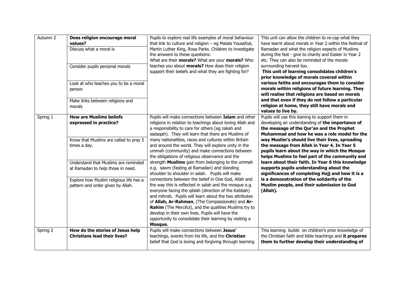| Autumn 2 | Does religion encourage moral<br>values?<br>Discuss what a moral is<br>Consider pupils personal morals<br>Look at who teaches you to be a moral<br>person<br>Make links between religions and<br>morals                                                                         | Pupils to explore real life examples of moral behaviour<br>that link to culture and religion - eg Malala Yousafzai,<br>Martin Luther King, Rosa Parks. Children to investigate<br>the answers to these questions:<br>What are their morals? What are your morals? Who<br>teaches you about morals? How does their religion<br>support their beliefs and what they are fighting for?                                                                                                                                                                                                                                                                                                                                                                                                                                                                                                                                                                                                                                                                                                           | This unit can allow the children to re-cap what they<br>have learnt about morals in Year 2 within the festival of<br>Ramadan and what the religion expects of Muslims<br>during the fast - give to charity and Easter in Year 2<br>etc. They can also be reminded of the morals<br>surrounding harvest too.<br>This unit of learning consolidates children's<br>prior knowledge of morals covered within<br>various faiths and encourages them to consider<br>morals within religions of future learning. They<br>will realise that religions are based on morals<br>and that even if they do not follow a particular<br>religion at home, they still have morals and<br>values to live by. |
|----------|---------------------------------------------------------------------------------------------------------------------------------------------------------------------------------------------------------------------------------------------------------------------------------|-----------------------------------------------------------------------------------------------------------------------------------------------------------------------------------------------------------------------------------------------------------------------------------------------------------------------------------------------------------------------------------------------------------------------------------------------------------------------------------------------------------------------------------------------------------------------------------------------------------------------------------------------------------------------------------------------------------------------------------------------------------------------------------------------------------------------------------------------------------------------------------------------------------------------------------------------------------------------------------------------------------------------------------------------------------------------------------------------|---------------------------------------------------------------------------------------------------------------------------------------------------------------------------------------------------------------------------------------------------------------------------------------------------------------------------------------------------------------------------------------------------------------------------------------------------------------------------------------------------------------------------------------------------------------------------------------------------------------------------------------------------------------------------------------------|
| Spring 1 | <b>How are Muslims beliefs</b><br>expressed in practice?<br>Know that Muslims are called to pray 5<br>times a day.<br>Understand that Muslims are reminded<br>at Ramadan to help those in need.<br>Explore how Muslim religious life has a<br>pattern and order given by Allah. | Pupils will make connections between Islam and other<br>religions in relation to teachings about loving Allah and<br>a responsibility to care for others (eg zakah and<br>sadaqah). They will learn that there are Muslims of<br>many nationalities, races and cultures within Britain<br>and around the world. They will explore unity in the<br>ummah (community) and make connections between<br>the obligations of religious observance and the<br>strength Muslims gain from belonging to the ummah<br>e.g. sawm (fasting at Ramadan) and standing<br>shoulder to shoulder in salah. Pupils will make<br>connections between the belief in One God, Allah and<br>the way this is reflected in salah and the mosque e.g.<br>everyone facing the qiblah (direction of the Kabbah)<br>and mihrab. Pupils will learn about the two attributes<br>of Allah, Ar-Rahman, (The Compassionate) and Ar-<br><b>Rahim</b> (The Merciful), and the qualities Muslims try to<br>develop in their own lives. Pupils will have the<br>opportunity to consolidate their learning by visiting a<br>Mosque. | Pupils will use this leaning to support them in<br>developing an understanding of the importance of<br>the message of the Qur'an and the Prophet<br>Muhammad and how he was a role model for the<br>way Muslim's should live their lives, spreading<br>the message from Allah in Year 4. In Year 5<br>pupils learn about the way in which the Mosque<br>helps Muslims to feel part of the community and<br>learn about their faith. In Year 6 this knowledge<br>supports pupils understanding about the<br>significances of completing Hajj and how it is a<br>is a demonstration of the solidarity of the<br>Muslim people, and their submission to God<br>(Allah).                        |
| Spring 2 | How do the stories of Jesus help<br><b>Christians lead their lives?</b>                                                                                                                                                                                                         | Pupils will make connections between Jesus'<br>teachings, events from his life, and the Christian<br>belief that God is loving and forgiving through learning                                                                                                                                                                                                                                                                                                                                                                                                                                                                                                                                                                                                                                                                                                                                                                                                                                                                                                                                 | This learning builds on children's prior knowledge of<br>the Christian faith and bible teachings and it prepares<br>them to further develop their understanding of                                                                                                                                                                                                                                                                                                                                                                                                                                                                                                                          |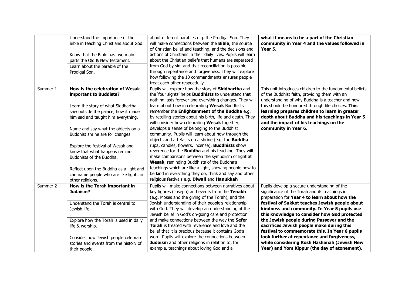|          | Understand the importance of the<br>Bible in teaching Christians about God.<br>Know that the Bible has two main<br>parts the Old & New testament.<br>Learn about the parable of the<br>Prodigal Son.                                                                                                                                                                                                                                                              | about different parables e.g. the Prodigal Son. They<br>will make connections between the <b>Bible</b> , the source<br>of Christian belief and teaching, and the decisions and<br>actions of Christians in their daily lives. Pupils will learn<br>about the Christian beliefs that humans are separated<br>from God by sin, and that reconciliation is possible<br>through repentance and forgiveness. They will explore<br>how following the 10 commandments ensures people<br>treat each other respectfully                                                                                                                                                                                                                                                                                                                                                                                                                                                         | what it means to be a part of the Christian<br>community in Year 4 and the values followed in<br>Year 5.                                                                                                                                                                                                                                                                                                                                                                                                                                                                                    |
|----------|-------------------------------------------------------------------------------------------------------------------------------------------------------------------------------------------------------------------------------------------------------------------------------------------------------------------------------------------------------------------------------------------------------------------------------------------------------------------|------------------------------------------------------------------------------------------------------------------------------------------------------------------------------------------------------------------------------------------------------------------------------------------------------------------------------------------------------------------------------------------------------------------------------------------------------------------------------------------------------------------------------------------------------------------------------------------------------------------------------------------------------------------------------------------------------------------------------------------------------------------------------------------------------------------------------------------------------------------------------------------------------------------------------------------------------------------------|---------------------------------------------------------------------------------------------------------------------------------------------------------------------------------------------------------------------------------------------------------------------------------------------------------------------------------------------------------------------------------------------------------------------------------------------------------------------------------------------------------------------------------------------------------------------------------------------|
| Summer 1 | How is the celebration of Wesak<br>important to Buddists?<br>Learn the story of what Siddhartha<br>saw outside the palace, how it made<br>him sad and taught him everything.<br>Name and say what the objects on a<br>Buddhist shrine are for changes.<br>Explore the festival of Wesak and<br>know that what happens reminds<br>Buddhists of the Buddha.<br>Reflect upon the Buddha as a light and<br>can name people who are like lights in<br>other religions. | Pupils will explore how the story of Siddhartha and<br>the 'four sights' helps <b>Buddhists</b> to understand that<br>nothing lasts forever and everything changes. They will<br>learn about how in celebrating Wesak Buddhists<br>remember the Enlightenment of the Buddha e.g.<br>by retelling stories about his birth, life and death. They<br>will consider how celebrating Wesak together,<br>develops a sense of belonging to the Buddhist<br>community. Pupils will learn about how through the<br>objects and artefacts on a shrine (e.g. the <b>Buddha</b><br>rupa, candles, flowers, incense), <b>Buddhists</b> show<br>reverence for the <b>Buddha</b> and his teaching. They will<br>make comparisons between the symbolism of light at<br>Wesak, reminding Buddhists of the Buddha's<br>teachings which are like a light, showing people how to<br>be kind in everything they do, think and say and other<br>religious festivals e.g. Diwali and Hanukkah | This unit introduces children to the fundamental beliefs<br>of the Buddhist faith, providing them with an<br>understanding of why Buddha is a teacher and how<br>this should be honoured through life choices. This<br>learning prepares children to learn in greater<br>depth about Buddha and his teachings in Year 5<br>and the impact of his teachings on the<br>community in Year 6.                                                                                                                                                                                                   |
| Summer 2 | How is the Torah important in<br>Judaism?<br>Understand the Torah is central to<br>Jewish life.<br>Explore how the Torah is used in daily<br>life & worship.<br>Consider how Jewish people celebrate<br>stories and events from the history of<br>their people.                                                                                                                                                                                                   | Pupils will make connections between narratives about<br>key figures (Joseph) and events from the Tenakh<br>(e.g. Moses and the giving of the Torah), and the<br>Jewish understanding of their people's relationship<br>with God. They will develop an understanding of the<br>Jewish belief in God's on-going care and protection<br>and make connections between the way the Sefer<br><b>Torah</b> is treated with reverence and love and the<br>belief that it is precious because it contains God's<br>word. Pupils will explore the connections between<br>Judaism and other religions in relation to, for<br>example, teachings about loving God and a                                                                                                                                                                                                                                                                                                           | Pupils develop a secure understanding of the<br>significance of the Torah and its teachings in<br>preparation for Year 4 to learn about how the<br>festival of Sukkot teaches Jewish people about<br>kindness and community. In Year 5 pupils use<br>this knowledge to consider how God protected<br>the Jewish people during Passover and the<br>sacrifices Jewish people make during this<br>festival to commemorate this. In Year 6 pupils<br>look further at repentance and forgiveness,<br>while considering Rosh Hashanah (Jewish New<br>Year) and Yom Kippur (the day of atonement). |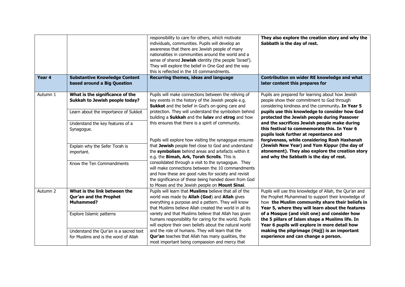| Year 4   | <b>Substantive Knowledge Content</b><br>based around a Big Question                                       | responsibility to care for others, which motivate<br>individuals, communities. Pupils will develop an<br>awareness that there are Jewish people of many<br>nationalities in communities around the world and a<br>sense of shared Jewish identity (the people 'Israel').<br>They will explore the belief in One God and the way<br>this is reflected in the 10 commandments.<br>Recurring themes, ideas and language | They also explore the creation story and why the<br>Sabbath is the day of rest.<br>Contribution on wider RE knowledge and what<br>later content this prepares for                                                    |
|----------|-----------------------------------------------------------------------------------------------------------|----------------------------------------------------------------------------------------------------------------------------------------------------------------------------------------------------------------------------------------------------------------------------------------------------------------------------------------------------------------------------------------------------------------------|----------------------------------------------------------------------------------------------------------------------------------------------------------------------------------------------------------------------|
| Autumn 1 | What is the significance of the<br>Sukkah to Jewish people today?<br>Learn about the importance of Sukkot | Pupils will make connections between the reliving of<br>key events in the history of the Jewish people e.g.<br>Sukkot and the belief in God's on-going care and<br>protection. They will understand the symbolism behind                                                                                                                                                                                             | Pupils are prepared for learning about how Jewish<br>people show their commitment to God through<br>considering kindness and the community. In Year 5<br>pupils use this knowledge to consider how God               |
|          | Understand the key features of a<br>Synagogue.                                                            | building a Sukkah and the lulav and etrog and how<br>this ensures that there is a spirit of community.                                                                                                                                                                                                                                                                                                               | protected the Jewish people during Passover<br>and the sacrifices Jewish people make during<br>this festival to commemorate this. In Year 6<br>pupils look further at repentance and                                 |
|          | Explain why the Sefer Torah is<br>important.                                                              | Pupils will explore how visiting the synagogue ensures<br>that Jewish people feel close to God and understand<br>the symbolism behind areas and artefacts within it<br>e.g. the Bimah, Ark, Torah Scrolls. This is                                                                                                                                                                                                   | forgiveness, while considering Rosh Hashanah<br>(Jewish New Year) and Yom Kippur (the day of<br>atonement). They also explore the creation story<br>and why the Sabbath is the day of rest.                          |
|          | Know the Ten Commandments                                                                                 | consolidated through a visit to the synagogue. They<br>will make connections between the 10 commandments<br>and how these are good rules for society and revisit<br>the significance of these being handed down from God<br>to Moses and the Jewish people on Mount Sinai.                                                                                                                                           |                                                                                                                                                                                                                      |
| Autumn 2 | What is the link between the<br>Qur'an and the Prophet<br><b>Muhammed?</b>                                | Pupils will learn that Muslims believe that all of the<br>world was made by Allah (God) and Allah gives<br>everything a purpose and a pattern. They will know<br>that Muslims believe Allah created the world in all its                                                                                                                                                                                             | Pupils will use this knowledge of Allah, the Qur'an and<br>the Prophet Muhammad to support their knowledge of<br>how the Muslim community share their beliefs in<br>Year 5, where they will learn about the features |
|          | Explore Islamic patterns                                                                                  | variety and that Muslims believe that Allah has given<br>humans responsibility for caring for the world. Pupils<br>will explore their own beliefs about the natural world                                                                                                                                                                                                                                            | of a Mosque (and visit one) and consider how<br>the 5 pillars of Islam shape a Muslims life. In<br>Year 6 pupils will explore in more detail how                                                                     |
|          | Understand the Qur'an is a sacred text<br>for Muslims and is the word of Allah                            | and the role of humans. They will learn that the<br>Qur'an teaches that Allah has many qualities, the<br>most important being compassion and mercy that                                                                                                                                                                                                                                                              | making the pilgrimage (Hajj) is an important<br>experience and can change a person.                                                                                                                                  |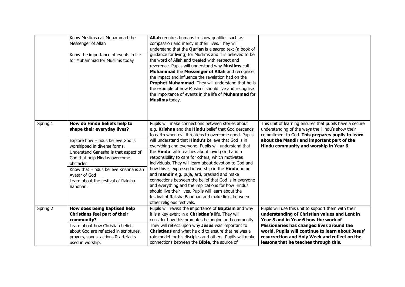|          | Know Muslims call Muhammad the<br>Messenger of Allah<br>Know the importance of events in life<br>for Muhammad for Muslims today                                                                                                                                                                                                      | Allah requires humans to show qualities such as<br>compassion and mercy in their lives. They will<br>understand that the <b>Qur'an</b> is a sacred text (a book of<br>guidance for living) for Muslims and it is believed to be<br>the word of Allah and treated with respect and<br>reverence. Pupils will understand why Muslims call<br>Muhammad the Messenger of Allah and recognise<br>the impact and influence the revelation had on the<br>Prophet Muhammad. They will understand that he is<br>the example of how Muslims should live and recognise<br>the importance of events in the life of <b>Muhammad</b> for<br>Muslims today.                                                                                                                                                                                       |                                                                                                                                                                                                                                                                                                                                           |
|----------|--------------------------------------------------------------------------------------------------------------------------------------------------------------------------------------------------------------------------------------------------------------------------------------------------------------------------------------|------------------------------------------------------------------------------------------------------------------------------------------------------------------------------------------------------------------------------------------------------------------------------------------------------------------------------------------------------------------------------------------------------------------------------------------------------------------------------------------------------------------------------------------------------------------------------------------------------------------------------------------------------------------------------------------------------------------------------------------------------------------------------------------------------------------------------------|-------------------------------------------------------------------------------------------------------------------------------------------------------------------------------------------------------------------------------------------------------------------------------------------------------------------------------------------|
| Spring 1 | How do Hindu beliefs help to<br>shape their everyday lives?<br>Explore how Hindus believe God is<br>worshipped in diverse forms.<br>Understand Ganesha is that aspect of<br>God that help Hindus overcome<br>obstacles.<br>Know that Hindus believe Krishna is an<br>Avatar of God<br>Learn about the festival of Raksha<br>Bandhan. | Pupils will make connections between stories about<br>e.g. Krishna and the Hindu belief that God descends<br>to earth when evil threatens to overcome good. Pupils<br>will understand that <b>Hindu's</b> believe that God is in<br>everything and everyone. Pupils will understand that<br>the Hindu faith teaches about loving God and a<br>responsibility to care for others, which motivates<br>individuals. They will learn about devotion to God and<br>how this is expressed in worship in the <b>Hindu</b> home<br>and mandir e.g. puja, arti, prashad and make<br>connections between the belief that God is in everyone<br>and everything and the implications for how Hindus<br>should live their lives. Pupils will learn about the<br>festival of Raksha Bandhan and make links between<br>other religious festivals. | This unit of learning ensures that pupils have a secure<br>understanding of the ways the Hindu's show their<br>commitment to God. This prepares pupils to learn<br>about the Mandir and important part of the<br>Hindu community and worship in Year 6.                                                                                   |
| Spring 2 | How does being baptised help<br><b>Christians feel part of their</b><br>community?<br>Learn about how Christian beliefs<br>about God are reflected in scriptures,<br>prayers, songs, actions & artefacts<br>used in worship.                                                                                                         | Pupils will revisit the importance of <b>Baptism</b> and why<br>it is a key event in a <b>Christian's</b> life. They will<br>consider how this promotes belonging and community.<br>They will reflect upon why Jesus was important to<br><b>Christians</b> and what he did to ensure that he was a<br>role model for his disciples and others. Pupils will make<br>connections between the <b>Bible</b> , the source of                                                                                                                                                                                                                                                                                                                                                                                                            | Pupils will use this unit to support them with their<br>understanding of Christian values and Lent in<br>Year 5 and in Year 6 how the work of<br>Missionaries has changed lives around the<br>world. Pupils will continue to learn about Jesus'<br>resurrection and Holy Week and reflect on the<br>lessons that he teaches through this. |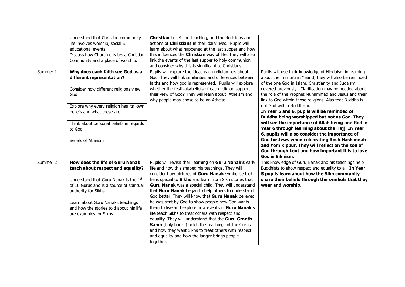|          | Understand that Christian community<br>life involves worship, social &<br>educational events.<br>Discuss how Church creates a Christian<br>Community and a place of worship.                                                                                                                        | Christian belief and teaching, and the decisions and<br>actions of Christians in their daily lives. Pupils will<br>learn about what happened at the last supper and how<br>this influences the Christian way of life. They will also<br>link the events of the last supper to holy communion<br>and consider why this is significant to Christians.                                                                                                                                                                                                                                                                                                                                                                                                                                                    |                                                                                                                                                                                                                                                                                                                                                                                                                                                                                                                                                                                         |
|----------|-----------------------------------------------------------------------------------------------------------------------------------------------------------------------------------------------------------------------------------------------------------------------------------------------------|--------------------------------------------------------------------------------------------------------------------------------------------------------------------------------------------------------------------------------------------------------------------------------------------------------------------------------------------------------------------------------------------------------------------------------------------------------------------------------------------------------------------------------------------------------------------------------------------------------------------------------------------------------------------------------------------------------------------------------------------------------------------------------------------------------|-----------------------------------------------------------------------------------------------------------------------------------------------------------------------------------------------------------------------------------------------------------------------------------------------------------------------------------------------------------------------------------------------------------------------------------------------------------------------------------------------------------------------------------------------------------------------------------------|
| Summer 1 | Why does each faith see God as a<br>different representation?<br>Consider how different religions view<br>God<br>Explore why every religion has its own<br>beliefs and what these are<br>Think about personal beliefs in regards<br>to God                                                          | Pupils will explore the ideas each religion has about<br>God. They will link similarities and differences between<br>faiths and how god is represented. Pupils will explore<br>whether the festivals/beliefs of each religion support<br>their view of God? They will learn about Atheism and<br>why people may chose to be an Atheist.                                                                                                                                                                                                                                                                                                                                                                                                                                                                | Pupils will use their knowledge of Hinduism in learning<br>about the Trimurti in Year 3, they will also be reminded<br>of the one God in Islam, Christianity and Judaism<br>covered previously. Clarification may be needed about<br>the role of the Prophet Muhammad and Jesus and their<br>link to God within those religions. Also that Buddha is<br>not God within Buddhism.<br>In Year 5 and 6, pupils will be reminded of<br>Buddha being worshipped but not as God. They<br>will see the importance of Allah being one God in<br>Year 6 through learning about the Hajj. In Year |
|          | Beliefs of Atheism                                                                                                                                                                                                                                                                                  |                                                                                                                                                                                                                                                                                                                                                                                                                                                                                                                                                                                                                                                                                                                                                                                                        | 6, pupils will also consider the importance of<br>God for Jews when celebrating Rosh Hashannah<br>and Yom Kippur. They will reflect on the son of<br>God through Lent and how important it is to love<br>God is Sikhism.                                                                                                                                                                                                                                                                                                                                                                |
| Summer 2 | <b>How does the life of Guru Nanak</b><br>teach about respect and equality?<br>Understand that Guru Nanak is the 1st<br>of 10 Gurus and is a source of spiritual<br>authority for Sikhs.<br>Learn about Guru Nanaks teachings<br>and how the stories told about his life<br>are examples for Sikhs. | Pupils will revisit their learning on Guru Nanak's early<br>life and how this shaped his teachings. They will<br>consider how pictures of Guru Nanak symbolise that<br>he is special to Sikhs and learn from Sikh stories that<br>Guru Nanak was a special child. They will understand<br>that Guru Nanak began to help others to understand<br>God better. They will know that Guru Nanak believed<br>he was sent by God to show people how God wants<br>them to live and explore how events in Guru Nanak's<br>life teach Sikhs to treat others with respect and<br>equality. They will understand that the Guru Granth<br>Sahib (holy books) holds the teachings of the Gurus<br>and how they want Sikhs to treat others with respect<br>and equality and how the langar brings people<br>together. | This knowledge of Guru Nanak and his teachings help<br>Buddhists to show respect and equality to all. In Year<br>5 pupils learn about how the Sikh community<br>share their beliefs through the symbols that they<br>wear and worship.                                                                                                                                                                                                                                                                                                                                                  |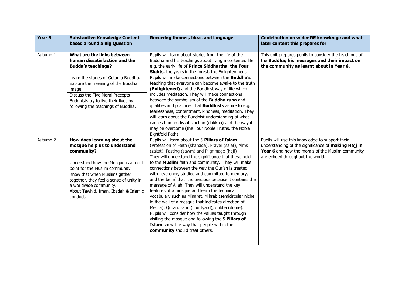| Year 5   | <b>Substantive Knowledge Content</b><br>based around a Big Question                                                                                                                                                                                                                                            | Recurring themes, ideas and language                                                                                                                                                                                                                                                                                                                                                                                                                                                                                                                                                                                                                                                                                                                                                                                                                                                                         | Contribution on wider RE knowledge and what<br>later content this prepares for                                                                                                                  |
|----------|----------------------------------------------------------------------------------------------------------------------------------------------------------------------------------------------------------------------------------------------------------------------------------------------------------------|--------------------------------------------------------------------------------------------------------------------------------------------------------------------------------------------------------------------------------------------------------------------------------------------------------------------------------------------------------------------------------------------------------------------------------------------------------------------------------------------------------------------------------------------------------------------------------------------------------------------------------------------------------------------------------------------------------------------------------------------------------------------------------------------------------------------------------------------------------------------------------------------------------------|-------------------------------------------------------------------------------------------------------------------------------------------------------------------------------------------------|
| Autumn 1 | What are the links between<br>human dissatisfaction and the<br><b>Budda's teachings?</b>                                                                                                                                                                                                                       | Pupils will learn about stories from the life of the<br>Buddha and his teachings about living a contented life<br>e.g. the early life of Prince Siddhartha, the Four<br>Sights, the years in the forest, the Enlightenment.                                                                                                                                                                                                                                                                                                                                                                                                                                                                                                                                                                                                                                                                                  | This unit prepares pupils to consider the teachings of<br>the Buddha; his messages and their impact on<br>the community as learnt about in Year 6.                                              |
|          | Learn the stories of Gotama Buddha.<br>Explore the meaning of the Buddha<br>image.<br>Discuss the Five Moral Precepts                                                                                                                                                                                          | Pupils will make connections between the <b>Buddha's</b><br>teaching that everyone can become awake to the truth<br>(Enlightened) and the Buddhist way of life which<br>includes meditation. They will make connections                                                                                                                                                                                                                                                                                                                                                                                                                                                                                                                                                                                                                                                                                      |                                                                                                                                                                                                 |
|          | Buddhists try to live their lives by<br>following the teachings of Buddha.                                                                                                                                                                                                                                     | between the symbolism of the <b>Buddha rupa</b> and<br>qualities and practices that <b>Buddhists</b> aspire to e.g.<br>fearlessness, contentment, kindness, meditation. They<br>will learn about the Buddhist understanding of what<br>causes human dissatisfaction (dukkha) and the way it<br>may be overcome (the Four Noble Truths, the Noble<br>Eightfold Path)                                                                                                                                                                                                                                                                                                                                                                                                                                                                                                                                          |                                                                                                                                                                                                 |
| Autumn 2 | How does learning about the<br>mosque help us to understand<br>community?<br>Understand how the Mosque is a focal<br>point for the Muslim community.<br>Know that when Muslims gather<br>together, they feel a sense of unity in<br>a worldwide community.<br>About Tawhid, Iman, Ibadah & Islamic<br>conduct. | Pupils will learn about the 5 Pillars of Islam<br>(Profession of Faith (shahada), Prayer (salat), Alms<br>(zakat), Fasting (sawm) and Pilgrimage (hajj)<br>They will understand the significance that these hold<br>to the Muslim faith and community. They will make<br>connections between the way the Qur'an is treated<br>with reverence, studied and committed to memory,<br>and the belief that it is precious because it contains the<br>message of Allah. They will understand the key<br>features of a mosque and learn the technical<br>vocabulary such as Minaret, Mihrab (semicircular niche<br>in the wall of a mosque that indicates direction of<br>Mecca), Quran, sahn (courtyard), qubba (dome).<br>Pupils will consider how the values taught through<br>visiting the mosque and following the 5 Pillars of<br>Islam show the way that people within the<br>community should treat others. | Pupils will use this knowledge to support their<br>understanding of the significance of making Hajj in<br>Year 6 and how the morals of the Muslim community<br>are echoed throughout the world. |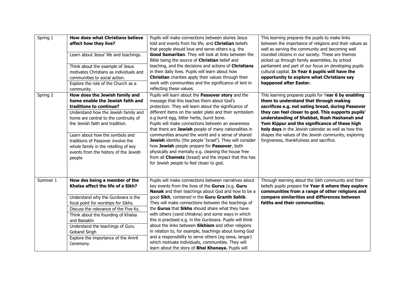| Spring 1 | <b>How does what Christians believe</b><br>affect how they live?<br>Learn about Jesus' life and teachings.<br>Think about the example of Jesus<br>motivates Christians as individuals and<br>communities to social action.<br>Explore the role of the Church as a<br>community.                                                                                                       | Pupils will make connections between stories Jesus<br>told and events from his life, and Christian beliefs<br>that people should love and serve others e.g. the<br>Good Samaritan. They will look at links between the<br>Bible being the source of Christian belief and<br>teaching, and the decisions and actions of Christians<br>in their daily lives. Pupils will learn about how<br>Christian charities apply their values through their<br>work with communities and the significance of lent in<br>reflecting these values.                                                                                                                                                                                                      | This learning prepares the pupils to make links<br>between the importance of religions and their values as<br>well as serving the community and becoming well<br>rounded citizens in our society. These are themes<br>picked up through family assemblies, by school<br>parliament and part of our focus on developing pupils<br>cultural capital. In Year 6 pupils will have the<br>opportunity to explore what Christians say<br>happened after Easter.             |
|----------|---------------------------------------------------------------------------------------------------------------------------------------------------------------------------------------------------------------------------------------------------------------------------------------------------------------------------------------------------------------------------------------|------------------------------------------------------------------------------------------------------------------------------------------------------------------------------------------------------------------------------------------------------------------------------------------------------------------------------------------------------------------------------------------------------------------------------------------------------------------------------------------------------------------------------------------------------------------------------------------------------------------------------------------------------------------------------------------------------------------------------------------|-----------------------------------------------------------------------------------------------------------------------------------------------------------------------------------------------------------------------------------------------------------------------------------------------------------------------------------------------------------------------------------------------------------------------------------------------------------------------|
| Spring 2 | How does the Jewish family and<br>home enable the Jewish faith and<br>traditions to continue?<br>Understand how the Jewish family and<br>home are central to the continuity of<br>the Jewish faith and tradition.<br>Learn about how the symbols and<br>traditions of Passover involve the<br>whole family in the retelling of key<br>events from the history of the Jewish<br>people | Pupils will learn about the Passover story and the<br>message that this teaches them about God's<br>protection. They will learn about the significance of<br>different items on the seder plate and their symbolism<br>e.g burnt egg, bitter herbs, burnt bone.<br>Pupils will make connections between an awareness<br>that there are Jewish people of many nationalities in<br>communities around the world and a sense of shared<br>Jewish identity (the people 'Israel'). They will consider<br>how Jewish people prepare for Passover, both<br>physically and mentally e.g. cleaning the house free<br>from all <b>Chametz</b> (bread) and the impact that this has<br>for Jewish people to feel closer to god.                     | This learning prepares pupils for Year 6 by enabling<br>them to understand that through making<br>sacrifices e.g. not eating bread, during Passover<br>they can feel closer to god. This supports pupils'<br>understanding of Shabbat, Rosh Hashanah and<br>Yom Kippur and the significance of these high<br>holy days in the Jewish calendar as well as how this<br>shapes the values of the Jewish community, exploring<br>forgiveness, thankfulness and sacrifice. |
| Summer 1 | How des being a member of the<br>Khalsa affect the life of a Sikh?<br>Understand why the Gurdwara is the<br>focal point for worships for Sikhs.<br>Discuss the relevance of the Five Ks.<br>Think about the founding of Khalsa<br>and Baisakhi<br>Understand the teachings of Guru<br>Goband Singh<br>Explore the importance of the Amrit<br>Ceremony.                                | Pupils will make connections between narratives about<br>key events from the lives of the Gurus (e.g. Guru<br>Nanak and their teachings about God and how to be a<br>good Sikh, contained in the Guru Granth Sahib.<br>They will make connections between the teachings of<br>the Gurus that Sikhs should share what they have<br>with others (vand chhakna) and some ways in which<br>this is practised e.g. in the Gurdwara. Pupils will think<br>about the links between Sikhism and other religions<br>in relation to, for example, teachings about loving God<br>and a responsibility to serve others (eg sewa, langar)<br>which motivate individuals, communities. They will<br>learn about the story of Bhai Khanaya. Pupils will | Through learning about the Sikh community and their<br>beliefs pupils prepare for Year 6 where they explore<br>communities from a range of other religions and<br>compare similarities and differences between<br>faiths and their communities.                                                                                                                                                                                                                       |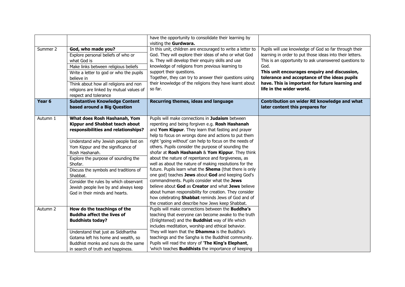|          |                                                                                                                                                                                                                                                                                                                                                                                                                                  | have the opportunity to consolidate their learning by<br>visiting the Gurdwara.                                                                                                                                                                                                                                                                                                                                                                                                                                                                                                                                                                                                                                                                                                                                                                                                                 |                                                                                                                                                                                                                                                                                                                                                                   |
|----------|----------------------------------------------------------------------------------------------------------------------------------------------------------------------------------------------------------------------------------------------------------------------------------------------------------------------------------------------------------------------------------------------------------------------------------|-------------------------------------------------------------------------------------------------------------------------------------------------------------------------------------------------------------------------------------------------------------------------------------------------------------------------------------------------------------------------------------------------------------------------------------------------------------------------------------------------------------------------------------------------------------------------------------------------------------------------------------------------------------------------------------------------------------------------------------------------------------------------------------------------------------------------------------------------------------------------------------------------|-------------------------------------------------------------------------------------------------------------------------------------------------------------------------------------------------------------------------------------------------------------------------------------------------------------------------------------------------------------------|
| Summer 2 | God, who made you?<br>Explore personal beliefs of who or<br>what God is<br>Make links between religious beliefs<br>Write a letter to god or who the pupils<br>believe in<br>Think about how all religions and non<br>religions are linked by mutual values of<br>respect and tolerance                                                                                                                                           | In this unit, children are encouraged to write a letter to<br>God. They will explore their ideas of who or what God<br>is. They will develop their enquiry skills and use<br>knowledge of religions from previous learning to<br>support their questions.<br>Together, they can try to answer their questions using<br>their knowledge of the religions they have learnt about<br>so far.                                                                                                                                                                                                                                                                                                                                                                                                                                                                                                       | Pupils will use knowledge of God so far through their<br>learning in order to put those ideas into their letters.<br>This is an opportunity to ask unanswered questions to<br>God.<br>This unit encourages enquiry and discussion,<br>tolerance and acceptance of the ideas pupils<br>have. This is important for future learning and<br>life in the wider world. |
| Year 6   | <b>Substantive Knowledge Content</b><br>based around a Big Question                                                                                                                                                                                                                                                                                                                                                              | Recurring themes, ideas and language                                                                                                                                                                                                                                                                                                                                                                                                                                                                                                                                                                                                                                                                                                                                                                                                                                                            | Contribution on wider RE knowledge and what<br>later content this prepares for                                                                                                                                                                                                                                                                                    |
| Autumn 1 | What does Rosh Hashanah, Yom<br>Kippur and Shabbat teach about<br>responsibilities and relationships?<br>Understand why Jewish people fast on<br>Yom Kippur and the significance of<br>Rosh Hashanah.<br>Explore the purpose of sounding the<br>Shofar.<br>Discuss the symbols and traditions of<br>Shabbat.<br>Consider the rules by which observant<br>Jewish people live by and always keep<br>God in their minds and hearts. | Pupils will make connections in Judaism between<br>repenting and being forgiven e.g. Rosh Hashanah<br>and Yom Kippur. They learn that fasting and prayer<br>help to focus on wrongs done and actions to put them<br>right 'going without' can help to focus on the needs of<br>others. Pupils consider the purpose of sounding the<br>shofar at Rosh Hashanah & Yom Kippur. They think<br>about the nature of repentance and forgiveness, as<br>well as about the nature of making resolutions for the<br>future. Pupils learn what the Shema (that there is only<br>one god) teaches Jews about God and keeping God's<br>commandments. Pupils consider what the Jews<br>believe about God as Creator and what Jews believe<br>about human responsibility for creation. They consider<br>how celebrating Shabbat reminds Jews of God and of<br>the creation and describe how Jews keep Shabbat. |                                                                                                                                                                                                                                                                                                                                                                   |
| Autumn 2 | How do the teachings of the<br><b>Buddha affect the lives of</b><br><b>Buddhists today?</b><br>Understand that just as Siddhartha<br>Gotama left his home and wealth, so<br>Buddhist monks and nuns do the same<br>in search of truth and happiness.                                                                                                                                                                             | Pupils will make connections between the <b>Buddha's</b><br>teaching that everyone can become awake to the truth<br>(Enlightened) and the <b>Buddhist</b> way of life which<br>includes meditation, worship and ethical behavior.<br>They will learn that the Dhamma is the Buddha's<br>teachings and the Sangha is the Buddhist community.<br>Pupils will read the story of 'The King's Elephant,<br>'which teaches <b>Buddhists</b> the importance of keeping                                                                                                                                                                                                                                                                                                                                                                                                                                 |                                                                                                                                                                                                                                                                                                                                                                   |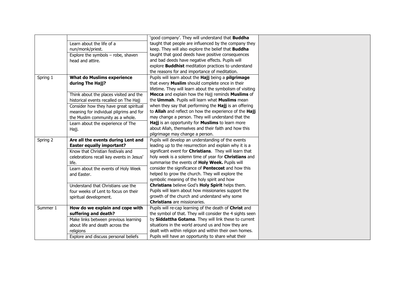|                           |                                                                         | 'good company'. They will understand that <b>Buddha</b>                                         |
|---------------------------|-------------------------------------------------------------------------|-------------------------------------------------------------------------------------------------|
| Learn about the life of a |                                                                         | taught that people are influenced by the company they                                           |
| nun/monk/priest.          |                                                                         | keep. They will also explore the belief that Buddha                                             |
|                           | Explore the symbols - robe, shaven                                      | taught that good deeds have positive consequences                                               |
| head and attire.          |                                                                         | and bad deeds have negative effects. Pupils will                                                |
|                           |                                                                         | explore <b>Buddhist</b> meditation practices to understand                                      |
|                           |                                                                         | the reasons for and importance of meditation.                                                   |
| Spring 1                  | <b>What do Muslims experience</b>                                       | Pupils will learn about the Hajj being a pilgrimage                                             |
| during The Hajj?          |                                                                         | that every Muslim should complete once in their                                                 |
|                           |                                                                         | lifetime. They will learn about the symbolism of visiting                                       |
|                           | Think about the places visited and the                                  | Mecca and explain how the Hajj reminds Muslims of                                               |
|                           | historical events recalled on The Hajj                                  | the Ummah. Pupils will learn what Muslims mean                                                  |
|                           | Consider how they have great spiritual                                  | when they say that performing the Hajj is an offering                                           |
|                           | meaning for individual pilgrims and for                                 | to Allah and reflect on how the experience of the Hajj                                          |
|                           | the Muslim community as a whole.                                        | may change a person. They will understand that the                                              |
|                           | Learn about the experience of The                                       | Hajj is an opportunity for Muslims to learn more                                                |
| Hajj.                     |                                                                         | about Allah, themselves and their faith and how this                                            |
|                           |                                                                         | pilgrimage may change a person.                                                                 |
| Spring 2                  | Are all the events during Lent and                                      | Pupils will develop an understanding of the events                                              |
|                           |                                                                         |                                                                                                 |
|                           | <b>Easter equally important?</b>                                        | leading up to the resurrection and explain why it is a                                          |
|                           | Know that Christian festivals and                                       | significant event for Christians. They will learn that                                          |
|                           |                                                                         | holy week is a solemn time of year for Christians and                                           |
| life.                     | celebrations recall key events in Jesus'                                | summarise the events of Holy Week. Pupils will                                                  |
|                           |                                                                         | consider the significance of <b>Pentecost</b> and how this                                      |
|                           | Learn about the events of Holy Week                                     | helped to grow the church. They will explore the                                                |
| and Easter.               |                                                                         |                                                                                                 |
|                           |                                                                         | symbolic meaning of the holy spirit and how<br>Christians believe God's Holy Spirit helps them. |
|                           | Understand that Christians use the                                      |                                                                                                 |
|                           | four weeks of Lent to focus on their                                    | Pupils will learn about how missionaries support the                                            |
| spiritual development.    |                                                                         | growth of the church and understand why some<br><b>Christians</b> are missionaries.             |
| Summer 1                  | How do we explain and cope with                                         | Pupils will re-cap learning of the death of Christ and                                          |
| suffering and death?      |                                                                         | the symbol of that. They will consider the 4 sights seen                                        |
|                           |                                                                         | by Siddattha Gotama. They will link these to current                                            |
|                           | Make links between previous learning<br>about life and death across the | situations in the world around us and how they are                                              |
| religions                 |                                                                         | dealt with within religion and within their own homes.                                          |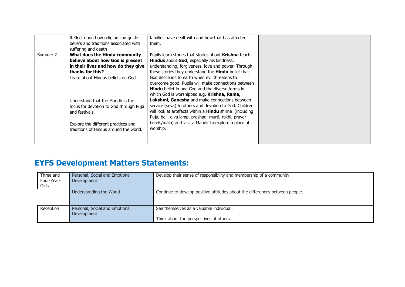|          | Reflect upon how religion can guide<br>beliefs and traditions associated with<br>suffering and death                                                              | families have dealt with and how that has affected<br>them.                                                                                                                                                                                                                                                                                                                                                                        |
|----------|-------------------------------------------------------------------------------------------------------------------------------------------------------------------|------------------------------------------------------------------------------------------------------------------------------------------------------------------------------------------------------------------------------------------------------------------------------------------------------------------------------------------------------------------------------------------------------------------------------------|
| Summer 2 | What does the Hindu community<br>believe about how God is present<br>in their lives and how do they give<br>thanks for this?<br>Learn about Hindus beliefs on God | Pupils learn stories that stories about Krishna teach<br>Hindus about God, especially his kindness,<br>understanding, forgiveness, love and power. Through<br>these stories they understand the Hindu belief that<br>God descends to earth when evil threatens to<br>overcome good. Pupils will make connections between<br><b>Hindu</b> belief in one God and the diverse forms in<br>which God is worshipped e.g. Krishna, Rama, |
|          | Understand that the Mandir is the<br>focus for devotion to God through Puja<br>and festivals.                                                                     | Lakshmi, Ganesha and make connections between<br>service (seva) to others and devotion to God. Children<br>will look at artefacts within a <b>Hindu</b> shrine (including<br>Puja, bell, diva lamp, prashad, murti, rakhi, prayer                                                                                                                                                                                                  |
|          | Explore the different practices and<br>traditions of Hindus around the world.                                                                                     | beads/mala) and visit a Mandir to explore a place of<br>worship.                                                                                                                                                                                                                                                                                                                                                                   |

## **EYFS Development Matters Statements:**

| Three and<br>Four-Year-<br>Olds | Personal, Social and Emotional<br>Development | Develop their sense of responsibility and membership of a community.                |
|---------------------------------|-----------------------------------------------|-------------------------------------------------------------------------------------|
|                                 | Understanding the World                       | Continue to develop positive attitudes about the differences between people.        |
| Reception                       | Personal, Social and Emotional<br>Development | See themselves as a valuable individual.<br>Think about the perspectives of others. |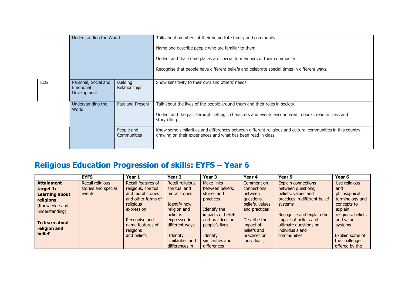|            | Understanding the World                                                                     |                           | Talk about members of their immediate family and community.<br>Name and describe people who are familiar to them.<br>Understand that some places are special to members of their community.<br>Recognise that people have different beliefs and celebrate special times in different ways. |
|------------|---------------------------------------------------------------------------------------------|---------------------------|--------------------------------------------------------------------------------------------------------------------------------------------------------------------------------------------------------------------------------------------------------------------------------------------|
| <b>ELG</b> | Personal, Social and<br><b>Building</b><br><b>Relationships</b><br>Emotional<br>Development |                           | Show sensitivity to their own and others' needs.                                                                                                                                                                                                                                           |
|            | Understanding the<br>World                                                                  | Past and Present          | Talk about the lives of the people around them and their roles in society.<br>Understand the past through settings, characters and events encountered in books read in class and<br>storytelling.                                                                                          |
|            |                                                                                             | People and<br>Communities | Know some similarities and differences between different religious and cultural communities in this country,<br>drawing on their experiences and what has been read in class.                                                                                                              |

## **Religious Education Progression of skills: EYFS – Year 6**

|                                                                                                                                                             | <b>EYFS</b>                                       | Year 1                                                                                                                                                                            | Year 2                                                                                                                                                | Year 3                                                                                                                                                    | Year 4                                                                                                                                             | Year 5                                                                                                                                                                                                                        | Year 6                                                                                                                                              |
|-------------------------------------------------------------------------------------------------------------------------------------------------------------|---------------------------------------------------|-----------------------------------------------------------------------------------------------------------------------------------------------------------------------------------|-------------------------------------------------------------------------------------------------------------------------------------------------------|-----------------------------------------------------------------------------------------------------------------------------------------------------------|----------------------------------------------------------------------------------------------------------------------------------------------------|-------------------------------------------------------------------------------------------------------------------------------------------------------------------------------------------------------------------------------|-----------------------------------------------------------------------------------------------------------------------------------------------------|
| <b>Attainment</b><br>target 1:<br><b>Learning about</b><br>religions<br>(Knowledge and<br>understanding)<br>To learn about<br>religion and<br><b>belief</b> | Recall religious<br>stories and special<br>events | Recall features of<br>religious, spiritual<br>and moral stories<br>and other forms of<br>religious<br>expression<br>Recognise and<br>name features of<br>religions<br>and beliefs | Retell religious,<br>spiritual and<br>moral stories<br>Identify how<br>religion and<br>belief is<br>expressed in<br>different ways<br><b>Identify</b> | Make links<br>between beliefs,<br>stories and<br>practices<br>Identify the<br>impacts of beliefs<br>and practices on<br>people's lives<br><b>Identify</b> | Comment on<br>connections<br>between<br>questions,<br>beliefs, values<br>and practices<br>Describe the<br>impact of<br>beliefs and<br>practices on | Explain connections<br>between questions,<br>beliefs, values and<br>practices in different belief<br>systems<br>Recognise and explain the<br>impact of beliefs and<br>ultimate questions on<br>individuals and<br>communities | Use religious<br>and<br>philosophical<br>terminology and<br>concepts to<br>explain<br>religions, beliefs<br>and value<br>systems<br>Explain some of |
|                                                                                                                                                             |                                                   |                                                                                                                                                                                   | similarities and                                                                                                                                      | similarities and                                                                                                                                          | individuals,                                                                                                                                       |                                                                                                                                                                                                                               | the challenges                                                                                                                                      |
|                                                                                                                                                             |                                                   |                                                                                                                                                                                   | differences in                                                                                                                                        | differences                                                                                                                                               |                                                                                                                                                    |                                                                                                                                                                                                                               | offered by the                                                                                                                                      |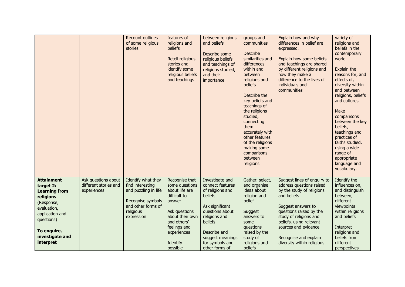|                                                                                                                                                                                  |                                                             | <b>Recount outlines</b><br>of some religious<br>stories                                                                              | features of<br>religions and<br>beliefs<br>Retell religious<br>stories and<br>identify some<br>religious beliefs<br>and teachings                                                      | between religions<br>and beliefs<br>Describe some<br>religious beliefs<br>and teachings of<br>religions studied,<br>and their<br>importance                                                                   | groups and<br>communities<br><b>Describe</b><br>similarities and<br>differences<br>within and<br>between<br>religions and<br>beliefs<br>Describe the<br>key beliefs and<br>teachings of<br>the religions<br>studied,<br>connecting<br>them<br>accurately with<br>other features<br>of the religions<br>making some<br>comparisons<br>between<br>religions | Explain how and why<br>differences in belief are<br>expressed.<br>Explain how some beliefs<br>and teachings are shared<br>by different religions and<br>how they make a<br>difference to the lives of<br>individuals and<br>communities                                                  | variety of<br>religions and<br>beliefs in the<br>contemporary<br>world<br>Explain the<br>reasons for, and<br>effects of,<br>diversity within<br>and between<br>religions, beliefs<br>and cultures.<br>Make<br>comparisons<br>between the key<br>beliefs,<br>teachings and<br>practices of<br>faiths studied,<br>using a wide<br>range of<br>appropriate<br>language and<br>vocabulary. |
|----------------------------------------------------------------------------------------------------------------------------------------------------------------------------------|-------------------------------------------------------------|--------------------------------------------------------------------------------------------------------------------------------------|----------------------------------------------------------------------------------------------------------------------------------------------------------------------------------------|---------------------------------------------------------------------------------------------------------------------------------------------------------------------------------------------------------------|-----------------------------------------------------------------------------------------------------------------------------------------------------------------------------------------------------------------------------------------------------------------------------------------------------------------------------------------------------------|------------------------------------------------------------------------------------------------------------------------------------------------------------------------------------------------------------------------------------------------------------------------------------------|----------------------------------------------------------------------------------------------------------------------------------------------------------------------------------------------------------------------------------------------------------------------------------------------------------------------------------------------------------------------------------------|
| <b>Attainment</b><br>target 2:<br><b>Learning from</b><br>religions<br>(Response,<br>evaluation,<br>application and<br>questions)<br>To enquire,<br>investigate and<br>interpret | Ask questions about<br>different stories and<br>experiences | Identify what they<br>find interesting<br>and puzzling in life<br>Recognise symbols<br>and other forms of<br>religious<br>expression | Recognise that<br>some questions<br>about life are<br>difficult to<br>answer<br>Ask questions<br>about their own<br>and others'<br>feelings and<br>experiences<br>Identify<br>possible | Investigate and<br>connect features<br>of religions and<br>beliefs<br>Ask significant<br>questions about<br>religions and<br>beliefs<br>Describe and<br>suggest meanings<br>for symbols and<br>other forms of | Gather, select,<br>and organise<br>ideas about<br>religion and<br>belief<br>Suggest<br>answers to<br>some<br>questions<br>raised by the<br>study of<br>religions and<br>beliefs                                                                                                                                                                           | Suggest lines of enquiry to<br>address questions raised<br>by the study of religions<br>and beliefs<br>Suggest answers to<br>questions raised by the<br>study of religions and<br>beliefs, using relevant<br>sources and evidence<br>Recognise and explain<br>diversity within religious | Identify the<br>influences on,<br>and distinguish<br>between,<br>different<br>viewpoints<br>within religions<br>and beliefs<br>Interpret<br>religions and<br>beliefs from<br>different<br>perspectives                                                                                                                                                                                 |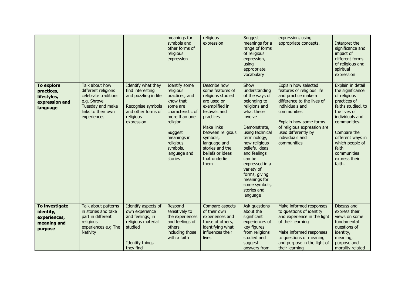|                                                                              |                                                                                                                                       |                                                                                                                                      | meanings for<br>symbols and<br>other forms of<br>religious<br>expression                                                                                                                              | religious<br>expression                                                                                                                                                                                                                             | Suggest<br>meanings for a<br>range of forms<br>of religious<br>expression,<br>using<br>appropriate<br>vocabulary                                                                                                                                                                                                               | expression, using<br>appropriate concepts.                                                                                                                                                                                                                  | Interpret the<br>significance and<br>impact of<br>different forms<br>of religious and<br>spiritual<br>expression                                                                                                                                         |
|------------------------------------------------------------------------------|---------------------------------------------------------------------------------------------------------------------------------------|--------------------------------------------------------------------------------------------------------------------------------------|-------------------------------------------------------------------------------------------------------------------------------------------------------------------------------------------------------|-----------------------------------------------------------------------------------------------------------------------------------------------------------------------------------------------------------------------------------------------------|--------------------------------------------------------------------------------------------------------------------------------------------------------------------------------------------------------------------------------------------------------------------------------------------------------------------------------|-------------------------------------------------------------------------------------------------------------------------------------------------------------------------------------------------------------------------------------------------------------|----------------------------------------------------------------------------------------------------------------------------------------------------------------------------------------------------------------------------------------------------------|
| <b>To explore</b><br>practices,<br>lifestyles,<br>expression and<br>language | Talk about how<br>different religions<br>celebrate traditions<br>e.g. Shrove<br>Tuesday and make<br>links to their own<br>experiences | Identify what they<br>find interesting<br>and puzzling in life<br>Recognise symbols<br>and other forms of<br>religious<br>expression | Identify some<br>religious<br>practices, and<br>know that<br>some are<br>characteristic of<br>more than one<br>religion<br>Suggest<br>meanings in<br>religious<br>symbols,<br>language and<br>stories | Describe how<br>some features of<br>religions studied<br>are used or<br>exemplified in<br>festivals and<br>practices<br>Make links<br>between religious<br>symbols,<br>language and<br>stories and the<br>beliefs or ideas<br>that underlie<br>them | Show<br>understanding<br>of the ways of<br>belonging to<br>religions and<br>what these<br>involve<br>Demonstrate,<br>using technical<br>terminology,<br>how religious<br>beliefs, ideas<br>and feelings<br>can be<br>expressed in a<br>variety of<br>forms, giving<br>meanings for<br>some symbols,<br>stories and<br>language | Explain how selected<br>features of religious life<br>and practice make a<br>difference to the lives of<br>individuals and<br>communities<br>Explain how some forms<br>of religious expression are<br>used differently by<br>individuals and<br>communities | Explain in detail<br>the significance<br>of religious<br>practices of<br>faiths studied, to<br>the lives of<br>individuals and<br>communities.<br>Compare the<br>different ways in<br>which people of<br>faith<br>communities<br>express their<br>faith. |
| To investigate<br>identity,<br>experiences,<br>meaning and<br>purpose        | Talk about patterns<br>in stories and take<br>part in different<br>religious<br>experiences e.g The<br>Nativity                       | Identify aspects of<br>own experience<br>and feelings, in<br>religious material<br>studied<br>Identify things<br>they find           | Respond<br>sensitively to<br>the experiences<br>and feelings of<br>others,<br>including those<br>with a faith                                                                                         | Compare aspects<br>of their own<br>experiences and<br>those of others,<br>identifying what<br>influences their<br>lives                                                                                                                             | Ask questions<br>about the<br>significant<br>experiences of<br>key figures<br>from religions<br>studied and<br>suggest<br>answers from                                                                                                                                                                                         | Make informed responses<br>to questions of identity<br>and experience in the light<br>of their learning<br>Make informed responses<br>to questions of meaning<br>and purpose in the light of<br>their learning                                              | Discuss and<br>express their<br>views on some<br>fundamental<br>questions of<br>identity,<br>meaning,<br>purpose and<br>morality related                                                                                                                 |